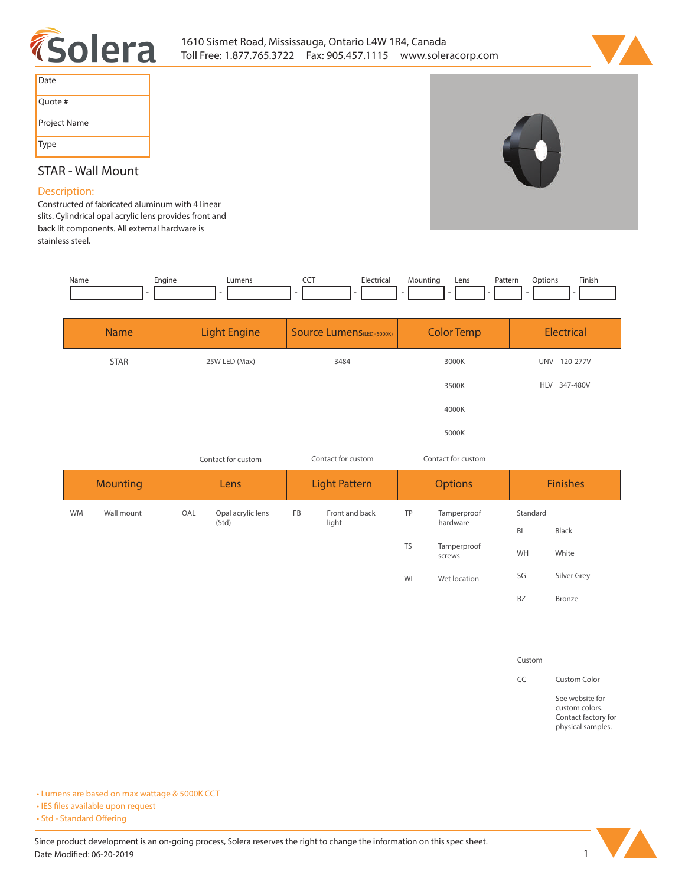



| Date         |
|--------------|
| Ouote #      |
| Project Name |
| Type         |

## **STAR - Wall Mount**

## **Description:**

**Constructed of fabricated aluminum with 4 linear slits. Cylindrical opal acrylic lens provides front and back lit components. All external hardware is stainless steel.** 

| Name | Engine | Lumens | $\overline{\phantom{a}}$ | Electrical | Mountino<br>the contract of the contract of the<br>٠ | Lens | Pattern | Options | Finish |
|------|--------|--------|--------------------------|------------|------------------------------------------------------|------|---------|---------|--------|
|      |        |        |                          |            |                                                      |      |         |         |        |
|      |        |        |                          |            |                                                      |      |         |         |        |

| <b>Name</b> | <b>Light Engine</b> | Source Lumens(LED)(5000K) | <b>Color Temp</b> | Electrical             |  |  |  |  |
|-------------|---------------------|---------------------------|-------------------|------------------------|--|--|--|--|
| STAR        | 25W LED (Max)       | 3484                      | 3000K             | <b>UNV</b><br>120-277V |  |  |  |  |
|             |                     |                           | 3500K             | <b>HLV</b><br>347-480V |  |  |  |  |
|             |                     |                           | 4000K             |                        |  |  |  |  |
|             |                     |                           | 5000K             |                        |  |  |  |  |

*Contact for custom Contact for custom*

*Contact for custom*

| <b>Mounting</b> |            |     | Lens                       |           | <b>Light Pattern</b> |           | <b>Options</b>          | <b>Finishes</b> |             |  |  |
|-----------------|------------|-----|----------------------------|-----------|----------------------|-----------|-------------------------|-----------------|-------------|--|--|
| <b>WM</b>       | Wall mount | OAL | Opal acrylic lens<br>(Std) | <b>FB</b> | Front and back       | TP        | Tamperproof<br>hardware | Standard        |             |  |  |
|                 |            |     |                            |           | light                |           |                         | BL              | Black       |  |  |
|                 |            |     |                            |           |                      | <b>TS</b> | Tamperproof<br>screws   | WH              | White       |  |  |
|                 |            |     |                            |           |                      | WL        | Wet location            | SG              | Silver Grey |  |  |
|                 |            |     |                            |           |                      |           |                         | <b>BZ</b>       | Bronze      |  |  |

**Custom**

**CC Custom Color**

**See website for custom colors. Contact factory for physical samples.** 

**• Lumens are based on max wattage & 5000K CCT**

**• IES files available upon request** 

• Std - Standard Offering